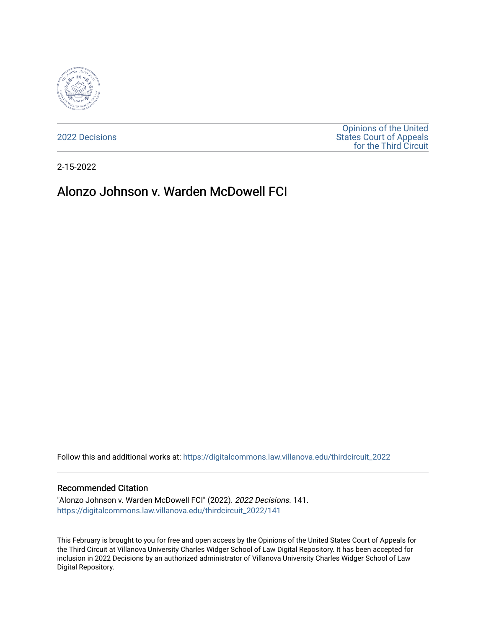

[2022 Decisions](https://digitalcommons.law.villanova.edu/thirdcircuit_2022)

[Opinions of the United](https://digitalcommons.law.villanova.edu/thirdcircuit)  [States Court of Appeals](https://digitalcommons.law.villanova.edu/thirdcircuit)  [for the Third Circuit](https://digitalcommons.law.villanova.edu/thirdcircuit) 

2-15-2022

# Alonzo Johnson v. Warden McDowell FCI

Follow this and additional works at: [https://digitalcommons.law.villanova.edu/thirdcircuit\\_2022](https://digitalcommons.law.villanova.edu/thirdcircuit_2022?utm_source=digitalcommons.law.villanova.edu%2Fthirdcircuit_2022%2F141&utm_medium=PDF&utm_campaign=PDFCoverPages) 

#### Recommended Citation

"Alonzo Johnson v. Warden McDowell FCI" (2022). 2022 Decisions. 141. [https://digitalcommons.law.villanova.edu/thirdcircuit\\_2022/141](https://digitalcommons.law.villanova.edu/thirdcircuit_2022/141?utm_source=digitalcommons.law.villanova.edu%2Fthirdcircuit_2022%2F141&utm_medium=PDF&utm_campaign=PDFCoverPages)

This February is brought to you for free and open access by the Opinions of the United States Court of Appeals for the Third Circuit at Villanova University Charles Widger School of Law Digital Repository. It has been accepted for inclusion in 2022 Decisions by an authorized administrator of Villanova University Charles Widger School of Law Digital Repository.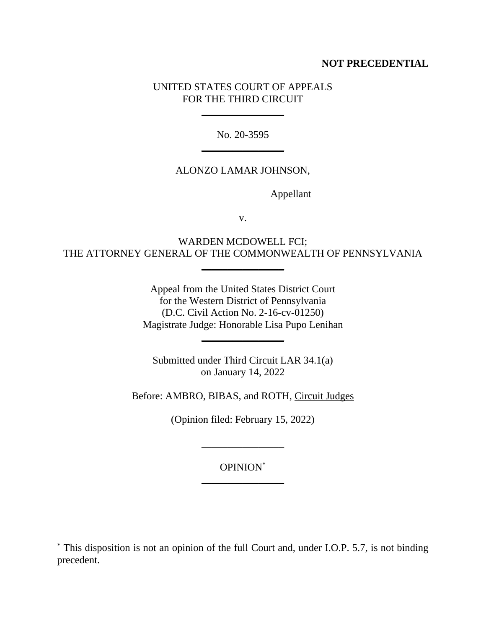## **NOT PRECEDENTIAL**

## UNITED STATES COURT OF APPEALS FOR THE THIRD CIRCUIT

\_\_\_\_\_\_\_\_\_\_\_\_\_\_\_\_

No. 20-3595  $\overline{\phantom{a}}$ 

### ALONZO LAMAR JOHNSON,

Appellant

v.

WARDEN MCDOWELL FCI; THE ATTORNEY GENERAL OF THE COMMONWEALTH OF PENNSYLVANIA

 $\overline{\phantom{a}}$ 

Appeal from the United States District Court for the Western District of Pennsylvania (D.C. Civil Action No. 2-16-cv-01250) Magistrate Judge: Honorable Lisa Pupo Lenihan

 $\overline{\phantom{a}}$ 

Submitted under Third Circuit LAR 34.1(a) on January 14, 2022

Before: AMBRO, BIBAS, and ROTH, Circuit Judges

(Opinion filed: February 15, 2022)

 $\overline{\phantom{a}}$ 

OPINION\*  $\frac{1}{2}$  , where  $\frac{1}{2}$  , where  $\frac{1}{2}$ 

<sup>\*</sup> This disposition is not an opinion of the full Court and, under I.O.P. 5.7, is not binding precedent.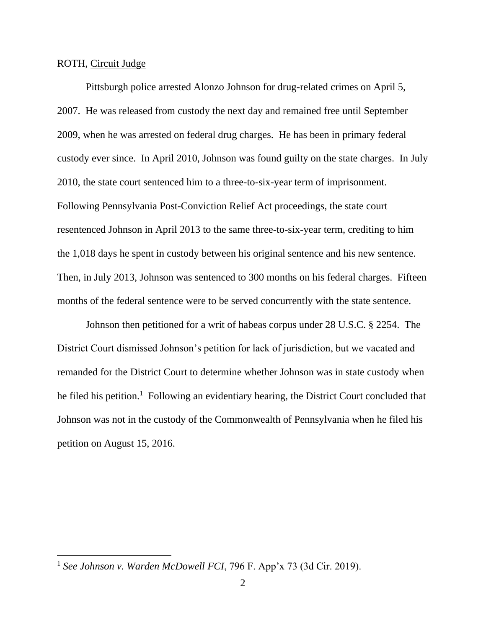#### ROTH, Circuit Judge

Pittsburgh police arrested Alonzo Johnson for drug-related crimes on April 5, 2007. He was released from custody the next day and remained free until September 2009, when he was arrested on federal drug charges. He has been in primary federal custody ever since. In April 2010, Johnson was found guilty on the state charges. In July 2010, the state court sentenced him to a three-to-six-year term of imprisonment. Following Pennsylvania Post-Conviction Relief Act proceedings, the state court resentenced Johnson in April 2013 to the same three-to-six-year term, crediting to him the 1,018 days he spent in custody between his original sentence and his new sentence. Then, in July 2013, Johnson was sentenced to 300 months on his federal charges. Fifteen months of the federal sentence were to be served concurrently with the state sentence.

Johnson then petitioned for a writ of habeas corpus under 28 U.S.C. § 2254. The District Court dismissed Johnson's petition for lack of jurisdiction, but we vacated and remanded for the District Court to determine whether Johnson was in state custody when he filed his petition.<sup>1</sup> Following an evidentiary hearing, the District Court concluded that Johnson was not in the custody of the Commonwealth of Pennsylvania when he filed his petition on August 15, 2016.

<sup>1</sup> *See Johnson v. Warden McDowell FCI*, 796 F. App'x 73 (3d Cir. 2019).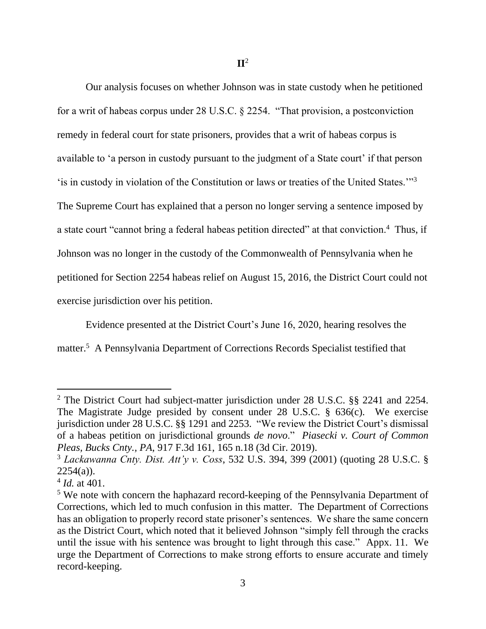Our analysis focuses on whether Johnson was in state custody when he petitioned for a writ of habeas corpus under 28 U.S.C. § 2254. "That provision, a postconviction remedy in federal court for state prisoners, provides that a writ of habeas corpus is available to 'a person in custody pursuant to the judgment of a State court' if that person 'is in custody in violation of the Constitution or laws or treaties of the United States."<sup>3</sup> The Supreme Court has explained that a person no longer serving a sentence imposed by a state court "cannot bring a federal habeas petition directed" at that conviction.<sup>4</sup> Thus, if Johnson was no longer in the custody of the Commonwealth of Pennsylvania when he petitioned for Section 2254 habeas relief on August 15, 2016, the District Court could not exercise jurisdiction over his petition.

Evidence presented at the District Court's June 16, 2020, hearing resolves the

matter.<sup>5</sup> A Pennsylvania Department of Corrections Records Specialist testified that

<sup>&</sup>lt;sup>2</sup> The District Court had subject-matter jurisdiction under 28 U.S.C. §§ 2241 and 2254. The Magistrate Judge presided by consent under 28 U.S.C. § 636(c). We exercise jurisdiction under 28 U.S.C. §§ 1291 and 2253. "We review the District Court's dismissal of a habeas petition on jurisdictional grounds *de novo*." *Piasecki v. Court of Common Pleas, Bucks Cnty., PA*, 917 F.3d 161, 165 n.18 (3d Cir. 2019).

<sup>3</sup> *Lackawanna Cnty. Dist. Att'y v. Coss*, 532 U.S. 394, 399 (2001) (quoting 28 U.S.C. §  $2254(a)$ ).

<sup>4</sup> *Id.* at 401.

<sup>&</sup>lt;sup>5</sup> We note with concern the haphazard record-keeping of the Pennsylvania Department of Corrections, which led to much confusion in this matter. The Department of Corrections has an obligation to properly record state prisoner's sentences. We share the same concern as the District Court, which noted that it believed Johnson "simply fell through the cracks until the issue with his sentence was brought to light through this case." Appx. 11.We urge the Department of Corrections to make strong efforts to ensure accurate and timely record-keeping.